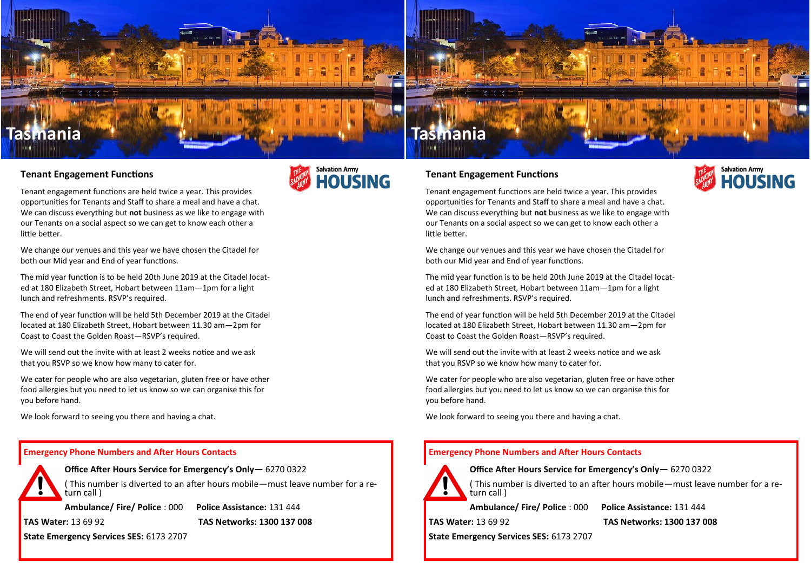

## **Tenant Engagement Functions**

Tenant engagement functions are held twice a year. This provides opportunities for Tenants and Staff to share a meal and have a chat. We can discuss everything but **not** business as we like to engage with our Tenants on a social aspect so we can get to know each other a little better.

We change our venues and this year we have chosen the Citadel for both our Mid year and End of year functions.

The mid year function is to be held 20th June 2019 at the Citadel located at 180 Elizabeth Street, Hobart between 11am—1pm for a light lunch and refreshments. RSVP's required.

The end of year function will be held 5th December 2019 at the Citadel located at 180 Elizabeth Street, Hobart between 11.30 am—2pm for Coast to Coast the Golden Roast—RSVP's required.

We will send out the invite with at least 2 weeks notice and we ask that you RSVP so we know how many to cater for.

We cater for people who are also vegetarian, gluten free or have other food allergies but you need to let us know so we can organise this for you before hand.

We look forward to seeing you there and having a chat.

## **Emergency Phone Numbers and After Hours Contacts**

**Office After Hours Service for Emergency's Only—** 6270 0322 ( This number is diverted to an after hours mobile—must leave number for a return call )

**Ambulance/ Fire/ Police** : 000 **Police Assistance:** 131 444

**TAS Water:** 13 69 92 **TAS Networks: 1300 137 008**

**State Emergency Services SES:** 6173 2707

# **Salvation Army HOUSING**

## **Tenant Engagement Functions**

**Salvation Army OLISING** 

Tenant engagement functions are held twice a year. This provides opportunities for Tenants and Staff to share a meal and have a chat. We can discuss everything but **not** business as we like to engage with our Tenants on a social aspect so we can get to know each other a little better.

We change our venues and this year we have chosen the Citadel for both our Mid year and End of year functions.

The mid year function is to be held 20th June 2019 at the Citadel located at 180 Elizabeth Street, Hobart between 11am—1pm for a light lunch and refreshments. RSVP's required.

The end of year function will be held 5th December 2019 at the Citadel located at 180 Elizabeth Street, Hobart between 11.30 am—2pm for Coast to Coast the Golden Roast—RSVP's required.

We will send out the invite with at least 2 weeks notice and we ask that you RSVP so we know how many to cater for.

We cater for people who are also vegetarian, gluten free or have other food allergies but you need to let us know so we can organise this for you before hand.

We look forward to seeing you there and having a chat.

## **Emergency Phone Numbers and After Hours Contacts**



**Office After Hours Service for Emergency's Only—** 6270 0322

( This number is diverted to an after hours mobile—must leave number for a return call )

**Ambulance/ Fire/ Police** : 000 **Police Assistance:** 131 444

**TAS Water:** 13 69 92 **TAS Networks: 1300 137 008**

**State Emergency Services SES:** 6173 2707